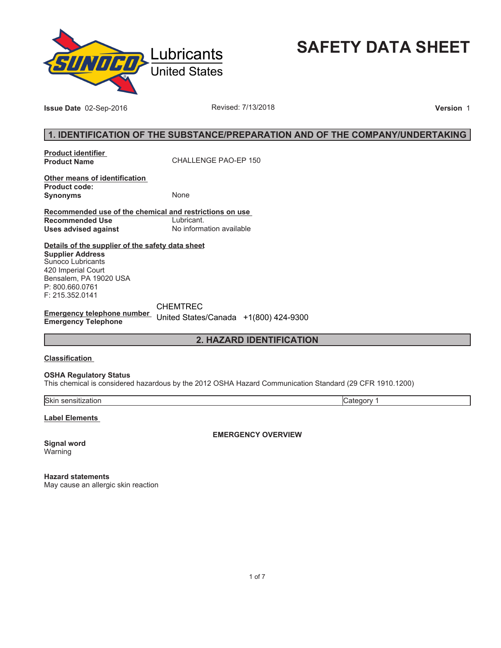

**SAFETY DATA SHEET**

**Issue Date** 02-Sep-2016 **Revised: 7/13/2018 Version** 1

# **1. IDENTIFICATION OF THE SUBSTANCE/PREPARATION AND OF THE COMPANY/UNDERTAKING**

**Product identifier** 

**Product Name** CHALLENGE PAO-EP 150

**Other means of identification Product code: Synonyms** None

**Recommended use of the chemical and restrictions on use Recommended Use<br>Uses advised against Uses advised against** No information available

**Details of the supplier of the safety data sheet Supplier Address** Sunoco Lubricants 420 Imperial Court Bensalem, PA 19020 USA

P: 800.660.0761 F: 215.352.0141

**Emergency telephone number Emergency Telephone** CHEMTREC United States/Canada +1(800) 424-9300

**2. HAZARD IDENTIFICATION**

## **Classification**

**OSHA Regulatory Status**

This chemical is considered hazardous by the 2012 OSHA Hazard Communication Standard (29 CFR 1910.1200)

Skin sensitization Category 1

**Label Elements** 

**Signal word** Warning

**EMERGENCY OVERVIEW**

**Hazard statements** May cause an allergic skin reaction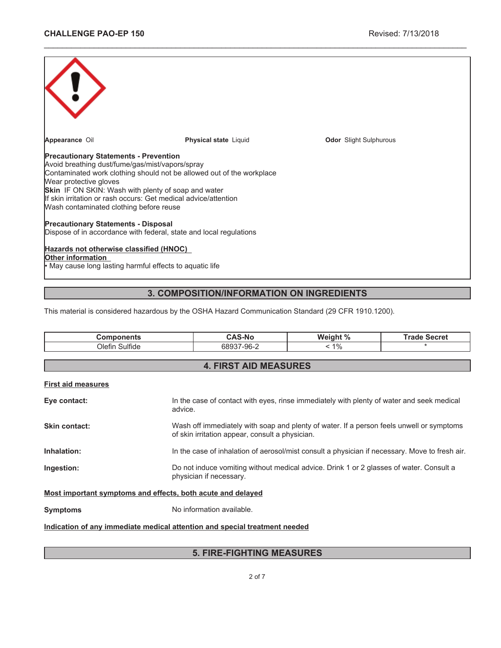| Appearance Oil                                                                                                                                                                                                                                                                   | <b>Physical state Liquid</b>                                                                                                             | <b>Odor</b> Slight Sulphurous |  |  |
|----------------------------------------------------------------------------------------------------------------------------------------------------------------------------------------------------------------------------------------------------------------------------------|------------------------------------------------------------------------------------------------------------------------------------------|-------------------------------|--|--|
| <b>Precautionary Statements - Prevention</b><br>Avoid breathing dust/fume/gas/mist/vapors/spray<br>Wear protective gloves<br><b>Skin</b> IF ON SKIN: Wash with plenty of soap and water<br>Wash contaminated clothing before reuse<br><b>Precautionary Statements - Disposal</b> | Contaminated work clothing should not be allowed out of the workplace<br>If skin irritation or rash occurs: Get medical advice/attention |                               |  |  |
| Dispose of in accordance with federal, state and local regulations                                                                                                                                                                                                               |                                                                                                                                          |                               |  |  |
| Hazards not otherwise classified (HNOC)<br>Other information<br>• May cause long lasting harmful effects to aquatic life                                                                                                                                                         |                                                                                                                                          |                               |  |  |

\_\_\_\_\_\_\_\_\_\_\_\_\_\_\_\_\_\_\_\_\_\_\_\_\_\_\_\_\_\_\_\_\_\_\_\_\_\_\_\_\_\_\_\_\_\_\_\_\_\_\_\_\_\_\_\_\_\_\_\_\_\_\_\_\_\_\_\_\_\_\_\_\_\_\_\_\_\_\_\_\_\_\_\_\_\_\_\_\_\_\_\_\_

# **3. COMPOSITION/INFORMATION ON INGREDIENTS**

This material is considered hazardous by the OSHA Hazard Communication Standard (29 CFR 1910.1200).

| <b>Components</b>                                                          | <b>CAS-No</b>                                                                                                                               | Weight % | <b>Trade Secret</b> |  |  |  |
|----------------------------------------------------------------------------|---------------------------------------------------------------------------------------------------------------------------------------------|----------|---------------------|--|--|--|
| Olefin Sulfide                                                             | 68937-96-2                                                                                                                                  | $< 1\%$  |                     |  |  |  |
|                                                                            |                                                                                                                                             |          |                     |  |  |  |
| <b>4. FIRST AID MEASURES</b>                                               |                                                                                                                                             |          |                     |  |  |  |
| <b>First aid measures</b>                                                  |                                                                                                                                             |          |                     |  |  |  |
| Eye contact:<br>advice.                                                    | In the case of contact with eyes, rinse immediately with plenty of water and seek medical                                                   |          |                     |  |  |  |
| Skin contact:                                                              | Wash off immediately with soap and plenty of water. If a person feels unwell or symptoms<br>of skin irritation appear, consult a physician. |          |                     |  |  |  |
| Inhalation:                                                                | In the case of inhalation of aerosol/mist consult a physician if necessary. Move to fresh air.                                              |          |                     |  |  |  |
| Ingestion:                                                                 | Do not induce vomiting without medical advice. Drink 1 or 2 glasses of water. Consult a<br>physician if necessary.                          |          |                     |  |  |  |
| Most important symptoms and effects, both acute and delayed                |                                                                                                                                             |          |                     |  |  |  |
| <b>Symptoms</b>                                                            | No information available.                                                                                                                   |          |                     |  |  |  |
| Indication of any immediate medical attention and special treatment needed |                                                                                                                                             |          |                     |  |  |  |

# **5. FIRE-FIGHTING MEASURES**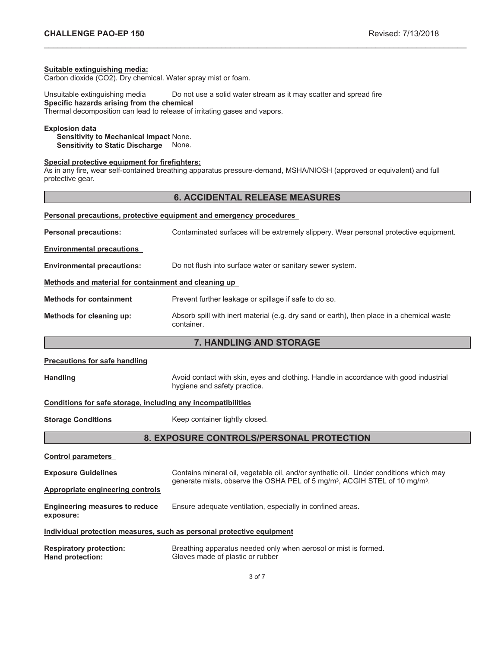#### **Suitable extinguishing media:**

Carbon dioxide (CO2). Dry chemical. Water spray mist or foam.

Unsuitable extinguishing media Do not use a solid water stream as it may scatter and spread fire **Specific hazards arising from the chemical**

Thermal decomposition can lead to release of irritating gases and vapors.

# **Explosion data**

**Sensitivity to Mechanical Impact** None. **Sensitivity to Static Discharge** None.

## **Special protective equipment for firefighters:**

As in any fire, wear self-contained breathing apparatus pressure-demand, MSHA/NIOSH (approved or equivalent) and full protective gear.

## **6. ACCIDENTAL RELEASE MEASURES**

\_\_\_\_\_\_\_\_\_\_\_\_\_\_\_\_\_\_\_\_\_\_\_\_\_\_\_\_\_\_\_\_\_\_\_\_\_\_\_\_\_\_\_\_\_\_\_\_\_\_\_\_\_\_\_\_\_\_\_\_\_\_\_\_\_\_\_\_\_\_\_\_\_\_\_\_\_\_\_\_\_\_\_\_\_\_\_\_\_\_\_\_\_

| Personal precautions, protective equipment and emergency procedures |                                                                                                         |  |  |
|---------------------------------------------------------------------|---------------------------------------------------------------------------------------------------------|--|--|
| <b>Personal precautions:</b>                                        | Contaminated surfaces will be extremely slippery. Wear personal protective equipment.                   |  |  |
| <b>Environmental precautions</b>                                    |                                                                                                         |  |  |
| <b>Environmental precautions:</b>                                   | Do not flush into surface water or sanitary sewer system.                                               |  |  |
| Methods and material for containment and cleaning up                |                                                                                                         |  |  |
| <b>Methods for containment</b>                                      | Prevent further leakage or spillage if safe to do so.                                                   |  |  |
| Methods for cleaning up:                                            | Absorb spill with inert material (e.g. dry sand or earth), then place in a chemical waste<br>container. |  |  |

# **7. HANDLING AND STORAGE**

| <b>Precautions for safe handling</b> |  |
|--------------------------------------|--|
|--------------------------------------|--|

Handling **Handling** Avoid contact with skin, eyes and clothing. Handle in accordance with good industrial hygiene and safety practice.

#### **Conditions for safe storage, including any incompatibilities**

**Storage Conditions** Keep container tightly closed.

# **8. EXPOSURE CONTROLS/PERSONAL PROTECTION**

| <b>Control parameters</b>                          |                                                                                                                                                                                             |
|----------------------------------------------------|---------------------------------------------------------------------------------------------------------------------------------------------------------------------------------------------|
| <b>Exposure Guidelines</b>                         | Contains mineral oil, vegetable oil, and/or synthetic oil. Under conditions which may<br>generate mists, observe the OSHA PEL of 5 mg/m <sup>3</sup> , ACGIH STEL of 10 mg/m <sup>3</sup> . |
| <b>Appropriate engineering controls</b>            |                                                                                                                                                                                             |
| <b>Engineering measures to reduce</b><br>exposure: | Ensure adequate ventilation, especially in confined areas.                                                                                                                                  |
|                                                    | Individual protection measures, such as personal protective equipment                                                                                                                       |
| Respiratory protection:                            | Breathing apparatus needed only when aerosol or mist is formed                                                                                                                              |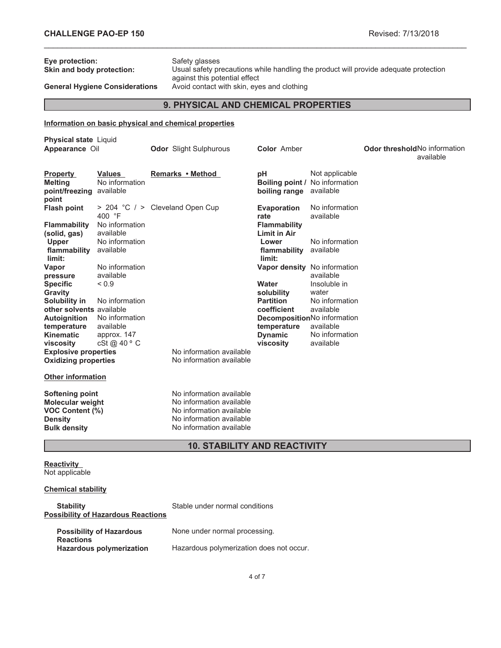| Safety glasses<br>Eye protection:<br>Usual safety precautions while handling the product will provide adequate protection<br>Skin and body protection:<br>against this potential effect<br>Avoid contact with skin, eyes and clothing<br><b>General Hygiene Considerations</b> |                                                             |  |                                                                                                                                          |                                                                                         |                                                                         |                              |           |
|--------------------------------------------------------------------------------------------------------------------------------------------------------------------------------------------------------------------------------------------------------------------------------|-------------------------------------------------------------|--|------------------------------------------------------------------------------------------------------------------------------------------|-----------------------------------------------------------------------------------------|-------------------------------------------------------------------------|------------------------------|-----------|
| 9. PHYSICAL AND CHEMICAL PROPERTIES                                                                                                                                                                                                                                            |                                                             |  |                                                                                                                                          |                                                                                         |                                                                         |                              |           |
|                                                                                                                                                                                                                                                                                |                                                             |  | Information on basic physical and chemical properties                                                                                    |                                                                                         |                                                                         |                              |           |
| <b>Physical state Liquid</b><br>Appearance Oil                                                                                                                                                                                                                                 |                                                             |  | <b>Odor</b> Slight Sulphurous                                                                                                            | <b>Color</b> Amber                                                                      |                                                                         | Odor thresholdNo information | available |
| <b>Property</b><br><b>Melting</b><br>point/freezing available<br>point                                                                                                                                                                                                         | Values<br>No information                                    |  | Remarks • Method                                                                                                                         | рH<br><b>Boiling point / No information</b><br>boiling range available                  | Not applicable                                                          |                              |           |
| <b>Flash point</b>                                                                                                                                                                                                                                                             | > 204 °C / > Cleveland Open Cup<br>400 °F<br>No information |  |                                                                                                                                          | Evaporation<br>rate                                                                     | No information<br>available                                             |                              |           |
| <b>Flammability</b><br>(solid, gas)<br><b>Upper</b><br>flammability available<br>limit:                                                                                                                                                                                        | available<br>No information                                 |  |                                                                                                                                          | <b>Flammability</b><br><b>Limit in Air</b><br>Lower<br>flammability available<br>limit: | No information                                                          |                              |           |
| Vapor<br>pressure<br><b>Specific</b><br>Gravity                                                                                                                                                                                                                                | No information<br>available<br>${}_{0.9}$                   |  |                                                                                                                                          | Water<br>solubility                                                                     | Vapor density No information<br>available<br>Insoluble in<br>water      |                              |           |
| Solubility in<br>other solvents available<br><b>Autoignition</b>                                                                                                                                                                                                               | No information<br>No information<br>available               |  |                                                                                                                                          | <b>Partition</b><br>coefficient<br>temperature                                          | No information<br>available<br>DecompositionNo information<br>available |                              |           |
| temperature<br><b>Kinematic</b><br>viscosity<br><b>Explosive properties</b>                                                                                                                                                                                                    | approx. 147<br>cSt @ 40 ° C                                 |  | No information available                                                                                                                 | <b>Dynamic</b><br>viscosity                                                             | No information<br>available                                             |                              |           |
| <b>Oxidizing properties</b><br><b>Other information</b>                                                                                                                                                                                                                        |                                                             |  | No information available                                                                                                                 |                                                                                         |                                                                         |                              |           |
| Softening point<br><b>Molecular weight</b><br>VOC Content (%)<br><b>Density</b><br><b>Bulk density</b>                                                                                                                                                                         |                                                             |  | No information available<br>No information available<br>No information available<br>No information available<br>No information available |                                                                                         |                                                                         |                              |           |
|                                                                                                                                                                                                                                                                                |                                                             |  | <b>10. STABILITY AND REACTIVITY</b>                                                                                                      |                                                                                         |                                                                         |                              |           |

\_\_\_\_\_\_\_\_\_\_\_\_\_\_\_\_\_\_\_\_\_\_\_\_\_\_\_\_\_\_\_\_\_\_\_\_\_\_\_\_\_\_\_\_\_\_\_\_\_\_\_\_\_\_\_\_\_\_\_\_\_\_\_\_\_\_\_\_\_\_\_\_\_\_\_\_\_\_\_\_\_\_\_\_\_\_\_\_\_\_\_\_\_

#### **Reactivity** Not applicable

# **Chemical stability**

| <b>Stability</b><br><b>Possibility of Hazardous Reactions</b> | Stable under normal conditions           |
|---------------------------------------------------------------|------------------------------------------|
| <b>Possibility of Hazardous</b><br><b>Reactions</b>           | None under normal processing.            |
| <b>Hazardous polymerization</b>                               | Hazardous polymerization does not occur. |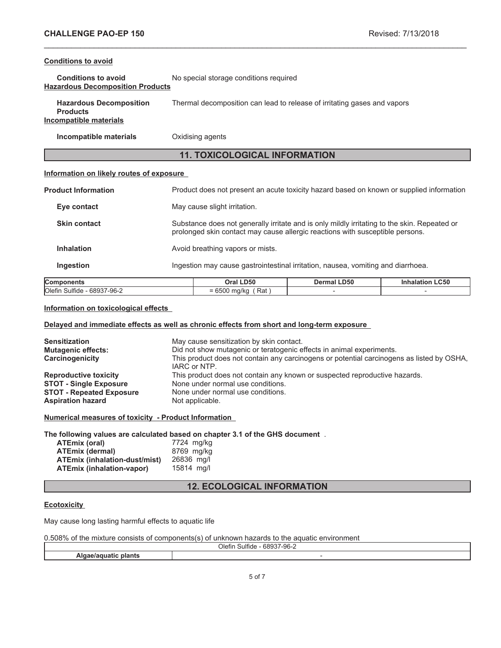## **Conditions to avoid**

| <b>Conditions to avoid</b>              | No special storage conditions required |
|-----------------------------------------|----------------------------------------|
| <b>Hazardous Decomposition Products</b> |                                        |

| <b>Hazardous Decomposition</b> | Thermal decomposition can lead to release of irritating gases and vapors |
|--------------------------------|--------------------------------------------------------------------------|
| <b>Products</b>                |                                                                          |
| Incompatible materials         |                                                                          |

**Incompatible materials** Oxidising agents

# **11. TOXICOLOGICAL INFORMATION**

\_\_\_\_\_\_\_\_\_\_\_\_\_\_\_\_\_\_\_\_\_\_\_\_\_\_\_\_\_\_\_\_\_\_\_\_\_\_\_\_\_\_\_\_\_\_\_\_\_\_\_\_\_\_\_\_\_\_\_\_\_\_\_\_\_\_\_\_\_\_\_\_\_\_\_\_\_\_\_\_\_\_\_\_\_\_\_\_\_\_\_\_\_

## **Information on likely routes of exposure**

| <b>Components</b>          | Oral LD50                                                                                                                                                                     | Dermal LD50 | <b>Inhalation LC50</b> |  |
|----------------------------|-------------------------------------------------------------------------------------------------------------------------------------------------------------------------------|-------------|------------------------|--|
| <b>Ingestion</b>           | Ingestion may cause gastrointestinal irritation, nausea, vomiting and diarrhoea.                                                                                              |             |                        |  |
| <b>Inhalation</b>          | Avoid breathing vapors or mists.                                                                                                                                              |             |                        |  |
| <b>Skin contact</b>        | Substance does not generally irritate and is only mildly irritating to the skin. Repeated or<br>prolonged skin contact may cause allergic reactions with susceptible persons. |             |                        |  |
| Eye contact                | May cause slight irritation.                                                                                                                                                  |             |                        |  |
| <b>Product Information</b> | Product does not present an acute toxicity hazard based on known or supplied information                                                                                      |             |                        |  |

## **Components Oral LD50 Dermal LD50 Inhalation LC50**  $\overline{O}$ lefin Sulfide - 68937-96-2  $= 6500 \text{ mg/kg}$  (Rat ) -  $-$

## **Information on toxicological effects**

## **Delayed and immediate effects as well as chronic effects from short and long-term exposure**

| <b>Sensitization</b><br><b>Mutagenic effects:</b> | May cause sensitization by skin contact.<br>Did not show mutagenic or teratogenic effects in animal experiments. |
|---------------------------------------------------|------------------------------------------------------------------------------------------------------------------|
| Carcinogenicity                                   | This product does not contain any carcinogens or potential carcinogens as listed by OSHA,<br>IARC or NTP.        |
| <b>Reproductive toxicity</b>                      | This product does not contain any known or suspected reproductive hazards.                                       |
| <b>STOT - Single Exposure</b>                     | None under normal use conditions.                                                                                |
| <b>STOT - Repeated Exposure</b>                   | None under normal use conditions.                                                                                |
| <b>Aspiration hazard</b>                          | Not applicable.                                                                                                  |

**Numerical measures of toxicity - Product Information**

**The following values are calculated based on chapter 3.1 of the GHS document** .

| ATEmix (oral)                 | 7724 mg/kg |
|-------------------------------|------------|
| <b>ATEmix (dermal)</b>        | 8769 mg/kg |
| ATEmix (inhalation-dust/mist) | 26836 ma/l |
| ATEmix (inhalation-vapor)     | 15814 ma/l |

# **12. ECOLOGICAL INFORMATION**

## **Ecotoxicity**

May cause long lasting harmful effects to aquatic life

|  | 0.508% of the mixture consists of components(s) of unknown hazards to the aquatic environment |
|--|-----------------------------------------------------------------------------------------------|
|--|-----------------------------------------------------------------------------------------------|

|    | .<br>Olefin<br>00027<br>$-96-2$<br>Sulfide<br>ש מנ<br>1.7.11 |  |
|----|--------------------------------------------------------------|--|
| AK |                                                              |  |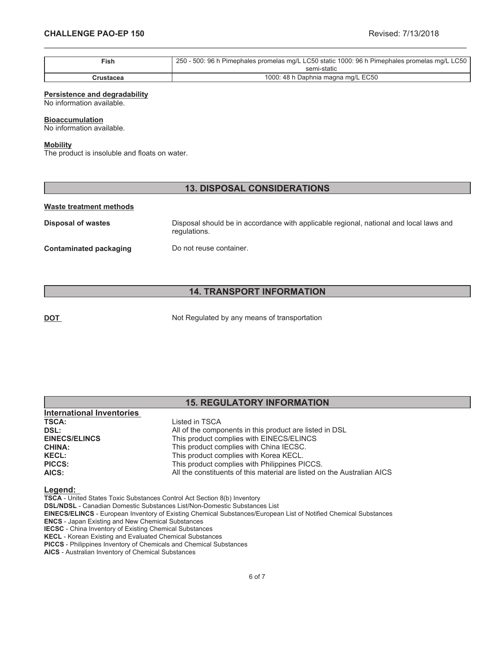| $\mathsf{Fish}$ | 250 - 500: 96 h Pimephales promelas mg/L LC50 static 1000: 96 h Pimephales promelas mg/L LC50 |
|-----------------|-----------------------------------------------------------------------------------------------|
|                 | semi-static                                                                                   |
| Crustacea       | 1000: 48 h Daphnia magna mg/L EC50                                                            |

\_\_\_\_\_\_\_\_\_\_\_\_\_\_\_\_\_\_\_\_\_\_\_\_\_\_\_\_\_\_\_\_\_\_\_\_\_\_\_\_\_\_\_\_\_\_\_\_\_\_\_\_\_\_\_\_\_\_\_\_\_\_\_\_\_\_\_\_\_\_\_\_\_\_\_\_\_\_\_\_\_\_\_\_\_\_\_\_\_\_\_\_\_

### **Persistence and degradability**

No information available.

#### **Bioaccumulation**

No information available.

### **Mobility**

The product is insoluble and floats on water.

## **13. DISPOSAL CONSIDERATIONS**

#### **Waste treatment methods**

**Disposal of wastes** Disposal should be in accordance with applicable regional, national and local laws and regulations. **Contaminated packaging Do not reuse container.** 

# **14. TRANSPORT INFORMATION**

**DOT** Not Regulated by any means of transportation

|                                  | <b>15. REGULATORY INFORMATION</b>                       |  |
|----------------------------------|---------------------------------------------------------|--|
| <b>International Inventories</b> |                                                         |  |
| <b>TSCA:</b>                     | Listed in TSCA                                          |  |
| DSL:                             | All of the components in this product are listed in DSL |  |
| <b>EINECS/ELINCS</b>             | This product complies with EINECS/ELINCS                |  |
| <b>CHINA:</b>                    | This product complies with China IECSC.                 |  |
| <b>KECL:</b>                     | This product complies with Korea KECL.                  |  |

#### **Legend:**

**TSCA** - United States Toxic Substances Control Act Section 8(b) Inventory

**DSL/NDSL** - Canadian Domestic Substances List/Non-Domestic Substances List

**PICCS:** This product complies with Philippines PICCS.

**EINECS/ELINCS** - European Inventory of Existing Chemical Substances/European List of Notified Chemical Substances

**AICS:** All the constituents of this material are listed on the Australian AICS

**ENCS** - Japan Existing and New Chemical Substances

**IECSC** - China Inventory of Existing Chemical Substances **KECL** - Korean Existing and Evaluated Chemical Substances

**PICCS** - Philippines Inventory of Chemicals and Chemical Substances

**AICS** - Australian Inventory of Chemical Substances